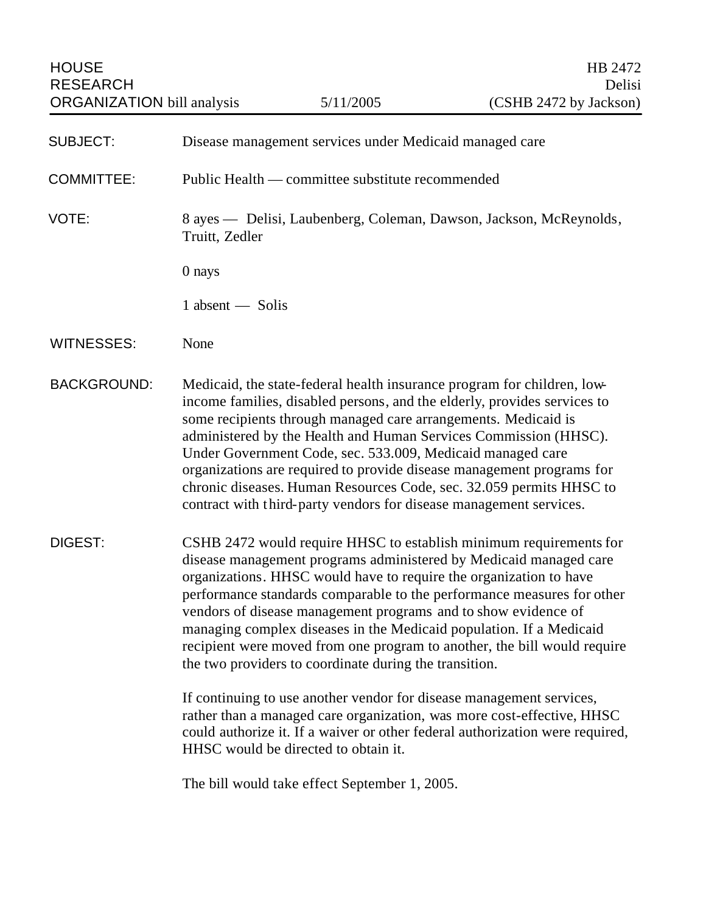| <b>SUBJECT:</b>    | Disease management services under Medicaid managed care                                                                                                                                                                                                                                                                                                                                                                                                                                                                                                                       |
|--------------------|-------------------------------------------------------------------------------------------------------------------------------------------------------------------------------------------------------------------------------------------------------------------------------------------------------------------------------------------------------------------------------------------------------------------------------------------------------------------------------------------------------------------------------------------------------------------------------|
| <b>COMMITTEE:</b>  | Public Health — committee substitute recommended                                                                                                                                                                                                                                                                                                                                                                                                                                                                                                                              |
| VOTE:              | 8 ayes — Delisi, Laubenberg, Coleman, Dawson, Jackson, McReynolds,<br>Truitt, Zedler                                                                                                                                                                                                                                                                                                                                                                                                                                                                                          |
|                    | 0 nays                                                                                                                                                                                                                                                                                                                                                                                                                                                                                                                                                                        |
|                    | 1 absent — Solis                                                                                                                                                                                                                                                                                                                                                                                                                                                                                                                                                              |
| <b>WITNESSES:</b>  | None                                                                                                                                                                                                                                                                                                                                                                                                                                                                                                                                                                          |
| <b>BACKGROUND:</b> | Medicaid, the state-federal health insurance program for children, low-<br>income families, disabled persons, and the elderly, provides services to<br>some recipients through managed care arrangements. Medicaid is<br>administered by the Health and Human Services Commission (HHSC).<br>Under Government Code, sec. 533.009, Medicaid managed care<br>organizations are required to provide disease management programs for<br>chronic diseases. Human Resources Code, sec. 32.059 permits HHSC to<br>contract with third-party vendors for disease management services. |
| DIGEST:            | CSHB 2472 would require HHSC to establish minimum requirements for<br>disease management programs administered by Medicaid managed care<br>organizations. HHSC would have to require the organization to have<br>performance standards comparable to the performance measures for other<br>vendors of disease management programs and to show evidence of<br>managing complex diseases in the Medicaid population. If a Medicaid<br>recipient were moved from one program to another, the bill would require<br>the two providers to coordinate during the transition.        |
|                    | If continuing to use another vendor for disease management services,<br>rather than a managed care organization, was more cost-effective, HHSC<br>could authorize it. If a waiver or other federal authorization were required,<br>HHSC would be directed to obtain it.                                                                                                                                                                                                                                                                                                       |

The bill would take effect September 1, 2005.